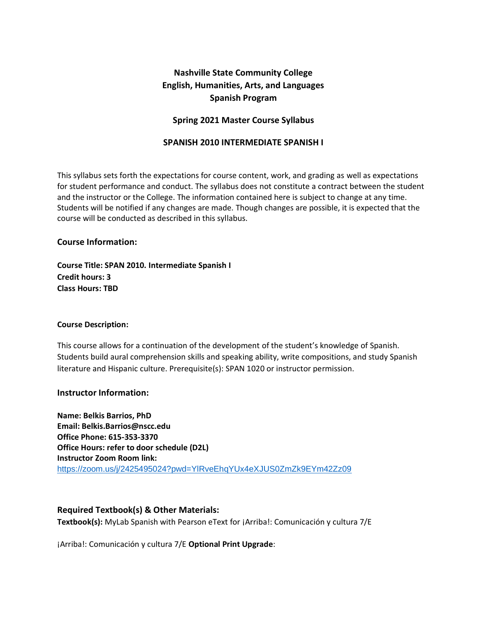# **Nashville State Community College English, Humanities, Arts, and Languages Spanish Program**

### **Spring 2021 Master Course Syllabus**

#### **SPANISH 2010 INTERMEDIATE SPANISH I**

This syllabus sets forth the expectations for course content, work, and grading as well as expectations for student performance and conduct. The syllabus does not constitute a contract between the student and the instructor or the College. The information contained here is subject to change at any time. Students will be notified if any changes are made. Though changes are possible, it is expected that the course will be conducted as described in this syllabus.

#### **Course Information:**

**Course Title: SPAN 2010. Intermediate Spanish I Credit hours: 3 Class Hours: TBD**

#### **Course Description:**

This course allows for a continuation of the development of the student's knowledge of Spanish. Students build aural comprehension skills and speaking ability, write compositions, and study Spanish literature and Hispanic culture. Prerequisite(s): SPAN 1020 or instructor permission.

#### **Instructor Information:**

**Name: Belkis Barrios, PhD Email: Belkis.Barrios@nscc.edu Office Phone: 615-353-3370 Office Hours: refer to door schedule (D2L) Instructor Zoom Room link:**  <https://zoom.us/j/2425495024?pwd=YlRveEhqYUx4eXJUS0ZmZk9EYm42Zz09>

#### **Required Textbook(s) & Other Materials:**

**Textbook(s):** MyLab Spanish with Pearson eText for ¡Arriba!: Comunicación y cultura 7/E

¡Arriba!: Comunicación y cultura 7/E **Optional Print Upgrade**: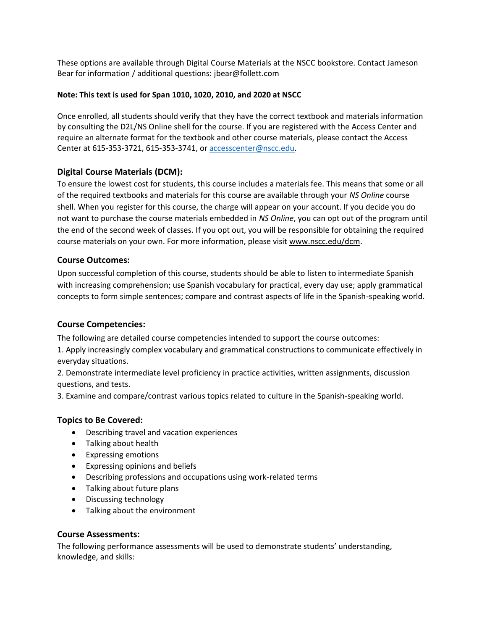These options are available through Digital Course Materials at the NSCC bookstore. Contact Jameson Bear for information / additional questions: jbear@follett.com

#### **Note: This text is used for Span 1010, 1020, 2010, and 2020 at NSCC**

Once enrolled, all students should verify that they have the correct textbook and materials information by consulting the D2L/NS Online shell for the course. If you are registered with the Access Center and require an alternate format for the textbook and other course materials, please contact the Access Center at 615-353-3721, 615-353-3741, or [accesscenter@nscc.edu.](mailto:accesscenter@nscc.edu)

# **Digital Course Materials (DCM):**

To ensure the lowest cost for students, this course includes a materials fee. This means that some or all of the required textbooks and materials for this course are available through your *NS Online* course shell. When you register for this course, the charge will appear on your account. If you decide you do not want to purchase the course materials embedded in *NS Online*, you can opt out of the program until the end of the second week of classes. If you opt out, you will be responsible for obtaining the required course materials on your own. For more information, please visit [www.nscc.edu/dcm.](http://www.nscc.edu/dcm)

# **Course Outcomes:**

Upon successful completion of this course, students should be able to listen to intermediate Spanish with increasing comprehension; use Spanish vocabulary for practical, every day use; apply grammatical concepts to form simple sentences; compare and contrast aspects of life in the Spanish-speaking world.

# **Course Competencies:**

The following are detailed course competencies intended to support the course outcomes:

1. Apply increasingly complex vocabulary and grammatical constructions to communicate effectively in everyday situations.

2. Demonstrate intermediate level proficiency in practice activities, written assignments, discussion questions, and tests.

3. Examine and compare/contrast various topics related to culture in the Spanish-speaking world.

# **Topics to Be Covered:**

- Describing travel and vacation experiences
- Talking about health
- Expressing emotions
- Expressing opinions and beliefs
- Describing professions and occupations using work-related terms
- Talking about future plans
- Discussing technology
- Talking about the environment

#### **Course Assessments:**

The following performance assessments will be used to demonstrate students' understanding, knowledge, and skills: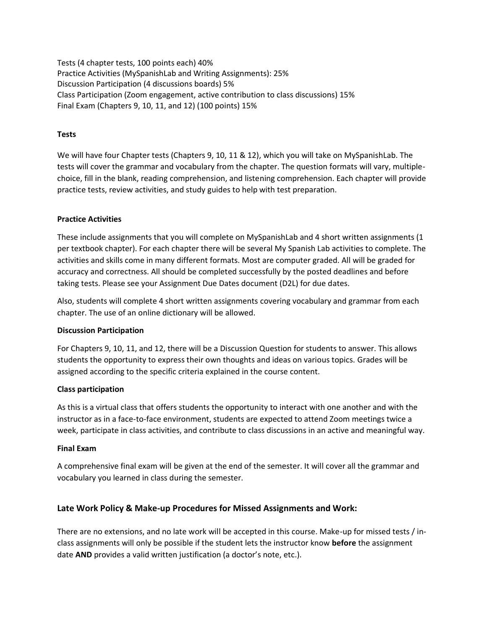Tests (4 chapter tests, 100 points each) 40% Practice Activities (MySpanishLab and Writing Assignments): 25% Discussion Participation (4 discussions boards) 5% Class Participation (Zoom engagement, active contribution to class discussions) 15% Final Exam (Chapters 9, 10, 11, and 12) (100 points) 15%

#### **Tests**

We will have four Chapter tests (Chapters 9, 10, 11 & 12), which you will take on MySpanishLab. The tests will cover the grammar and vocabulary from the chapter. The question formats will vary, multiplechoice, fill in the blank, reading comprehension, and listening comprehension. Each chapter will provide practice tests, review activities, and study guides to help with test preparation.

#### **Practice Activities**

These include assignments that you will complete on MySpanishLab and 4 short written assignments (1 per textbook chapter). For each chapter there will be several My Spanish Lab activities to complete. The activities and skills come in many different formats. Most are computer graded. All will be graded for accuracy and correctness. All should be completed successfully by the posted deadlines and before taking tests. Please see your Assignment Due Dates document (D2L) for due dates.

Also, students will complete 4 short written assignments covering vocabulary and grammar from each chapter. The use of an online dictionary will be allowed.

#### **Discussion Participation**

For Chapters 9, 10, 11, and 12, there will be a Discussion Question for students to answer. This allows students the opportunity to express their own thoughts and ideas on various topics. Grades will be assigned according to the specific criteria explained in the course content.

#### **Class participation**

As this is a virtual class that offers students the opportunity to interact with one another and with the instructor as in a face-to-face environment, students are expected to attend Zoom meetings twice a week, participate in class activities, and contribute to class discussions in an active and meaningful way.

#### **Final Exam**

A comprehensive final exam will be given at the end of the semester. It will cover all the grammar and vocabulary you learned in class during the semester.

# **Late Work Policy & Make-up Procedures for Missed Assignments and Work:**

There are no extensions, and no late work will be accepted in this course. Make-up for missed tests / inclass assignments will only be possible if the student lets the instructor know **before** the assignment date **AND** provides a valid written justification (a doctor's note, etc.).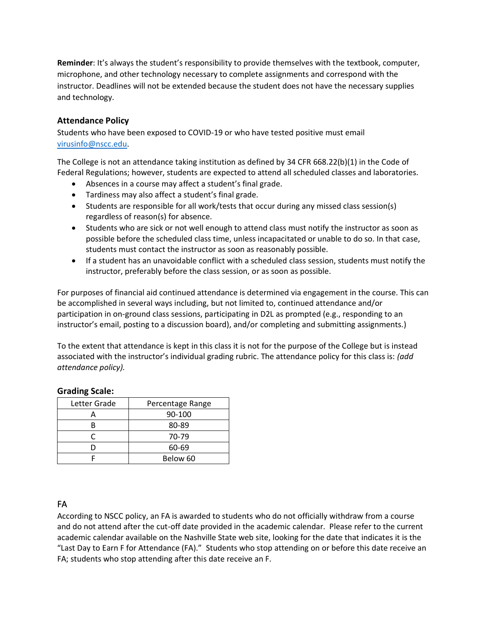**Reminder**: It's always the student's responsibility to provide themselves with the textbook, computer, microphone, and other technology necessary to complete assignments and correspond with the instructor. Deadlines will not be extended because the student does not have the necessary supplies and technology.

# **Attendance Policy**

Students who have been exposed to COVID-19 or who have tested positive must email [virusinfo@nscc.edu](mailto:virusinfo@nscc.edu).

The College is not an attendance taking institution as defined by 34 CFR 668.22(b)(1) in the Code of Federal Regulations; however, students are expected to attend all scheduled classes and laboratories.

- Absences in a course may affect a student's final grade.
- Tardiness may also affect a student's final grade.
- Students are responsible for all work/tests that occur during any missed class session(s) regardless of reason(s) for absence.
- Students who are sick or not well enough to attend class must notify the instructor as soon as possible before the scheduled class time, unless incapacitated or unable to do so. In that case, students must contact the instructor as soon as reasonably possible.
- If a student has an unavoidable conflict with a scheduled class session, students must notify the instructor, preferably before the class session, or as soon as possible.

For purposes of financial aid continued attendance is determined via engagement in the course. This can be accomplished in several ways including, but not limited to, continued attendance and/or participation in on-ground class sessions, participating in D2L as prompted (e.g., responding to an instructor's email, posting to a discussion board), and/or completing and submitting assignments.)

To the extent that attendance is kept in this class it is not for the purpose of the College but is instead associated with the instructor's individual grading rubric. The attendance policy for this class is: *(add attendance policy).*

# **Grading Scale:**

| Letter Grade | Percentage Range |
|--------------|------------------|
|              | 90-100           |
|              | 80-89            |
|              | 70-79            |
|              | 60-69            |
|              | Below 60         |

# FA

According to NSCC policy, an FA is awarded to students who do not officially withdraw from a course and do not attend after the cut-off date provided in the academic calendar. Please refer to the current academic calendar available on the Nashville State web site, looking for the date that indicates it is the "Last Day to Earn F for Attendance (FA)." Students who stop attending on or before this date receive an FA; students who stop attending after this date receive an F.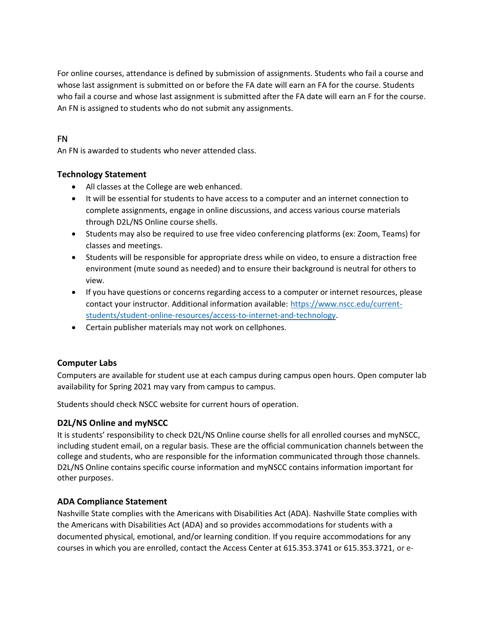For online courses, attendance is defined by submission of assignments. Students who fail a course and whose last assignment is submitted on or before the FA date will earn an FA for the course. Students who fail a course and whose last assignment is submitted after the FA date will earn an F for the course. An FN is assigned to students who do not submit any assignments.

# FN

An FN is awarded to students who never attended class.

### **Technology Statement**

- All classes at the College are web enhanced.
- It will be essential for students to have access to a computer and an internet connection to complete assignments, engage in online discussions, and access various course materials through D2L/NS Online course shells.
- Students may also be required to use free video conferencing platforms (ex: Zoom, Teams) for classes and meetings.
- Students will be responsible for appropriate dress while on video, to ensure a distraction free environment (mute sound as needed) and to ensure their background is neutral for others to view.
- If you have questions or concerns regarding access to a computer or internet resources, please contact your instructor. Additional information available: [https://www.nscc.edu/current](https://www.nscc.edu/current-students/student-online-resources/access-to-internet-and-technology)[students/student-online-resources/access-to-internet-and-technology.](https://www.nscc.edu/current-students/student-online-resources/access-to-internet-and-technology)
- Certain publisher materials may not work on cellphones.

# **Computer Labs**

Computers are available for student use at each campus during campus open hours. Open computer lab availability for Spring 2021 may vary from campus to campus.

Students should check NSCC website for current hours of operation.

#### **D2L/NS Online and myNSCC**

It is students' responsibility to check D2L/NS Online course shells for all enrolled courses and myNSCC, including student email, on a regular basis. These are the official communication channels between the college and students, who are responsible for the information communicated through those channels. D2L/NS Online contains specific course information and myNSCC contains information important for other purposes.

#### **ADA Compliance Statement**

Nashville State complies with the Americans with Disabilities Act (ADA). Nashville State complies with the Americans with Disabilities Act (ADA) and so provides accommodations for students with a documented physical, emotional, and/or learning condition. If you require accommodations for any courses in which you are enrolled, contact the Access Center at 615.353.3741 or 615.353.3721, or e-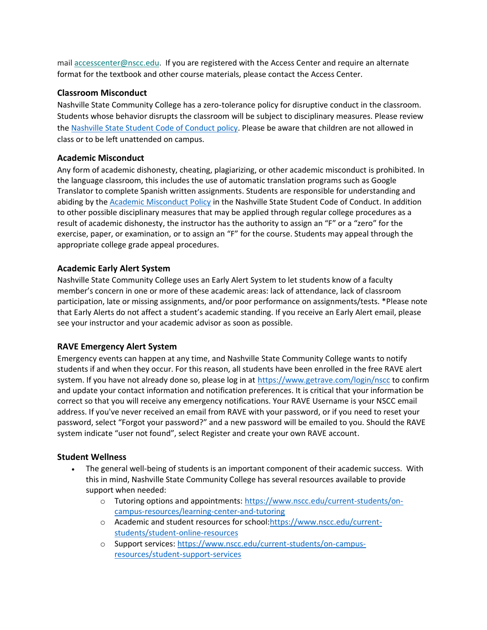mail [accesscenter@nscc.edu.](mailto:%3Caccesscenter@nscc.edu%3E) If you are registered with the Access Center and require an alternate format for the textbook and other course materials, please contact the Access Center.

# **Classroom Misconduct**

Nashville State Community College has a zero-tolerance policy for disruptive conduct in the classroom. Students whose behavior disrupts the classroom will be subject to disciplinary measures. Please review th[e Nashville State Student Code of Conduct policy.](https://s3.amazonaws.com/nscc.edu/PDFs/dean-students/Student_Code_of_Conduct_Policy.pdf) Please be aware that children are not allowed in class or to be left unattended on campus.

### **Academic Misconduct**

Any form of academic dishonesty, cheating, plagiarizing, or other academic misconduct is prohibited. In the language classroom, this includes the use of automatic translation programs such as Google Translator to complete Spanish written assignments. Students are responsible for understanding and abiding by the [Academic Misconduct Policy](https://s3.amazonaws.com/nscc.edu/PDFs/dean-students/Student_Code_of_Conduct_Policy.pdf) in the Nashville State Student Code of Conduct. In addition to other possible disciplinary measures that may be applied through regular college procedures as a result of academic dishonesty, the instructor has the authority to assign an "F" or a "zero" for the exercise, paper, or examination, or to assign an "F" for the course. Students may appeal through the appropriate college grade appeal procedures.

# **Academic Early Alert System**

Nashville State Community College uses an Early Alert System to let students know of a faculty member's concern in one or more of these academic areas: lack of attendance, lack of classroom participation, late or missing assignments, and/or poor performance on assignments/tests. \*Please note that Early Alerts do not affect a student's academic standing. If you receive an Early Alert email, please see your instructor and your academic advisor as soon as possible.

# **RAVE Emergency Alert System**

Emergency events can happen at any time, and Nashville State Community College wants to notify students if and when they occur. For this reason, all students have been enrolled in the free RAVE alert system. If you have not already done so, please log in at<https://www.getrave.com/login/nscc> to confirm and update your contact information and notification preferences. It is critical that your information be correct so that you will receive any emergency notifications. Your RAVE Username is your NSCC email address. If you've never received an email from RAVE with your password, or if you need to reset your password, select "Forgot your password?" and a new password will be emailed to you. Should the RAVE system indicate "user not found", select Register and create your own RAVE account.

# **Student Wellness**

- The general well-being of students is an important component of their academic success. With this in mind, Nashville State Community College has several resources available to provide support when needed:
	- o Tutoring options and appointments: [https://www.nscc.edu/current-students/on](https://www.nscc.edu/current-students/on-campus-resources/learning-center-and-tutoring)[campus-resources/learning-center-and-tutoring](https://www.nscc.edu/current-students/on-campus-resources/learning-center-and-tutoring)
	- o Academic and student resources for school[:https://www.nscc.edu/current](https://www.nscc.edu/current-students/student-online-resources)[students/student-online-resources](https://www.nscc.edu/current-students/student-online-resources)
	- o Support services: [https://www.nscc.edu/current-students/on-campus](https://www.nscc.edu/current-students/on-campus-resources/student-support-services)[resources/student-support-services](https://www.nscc.edu/current-students/on-campus-resources/student-support-services)